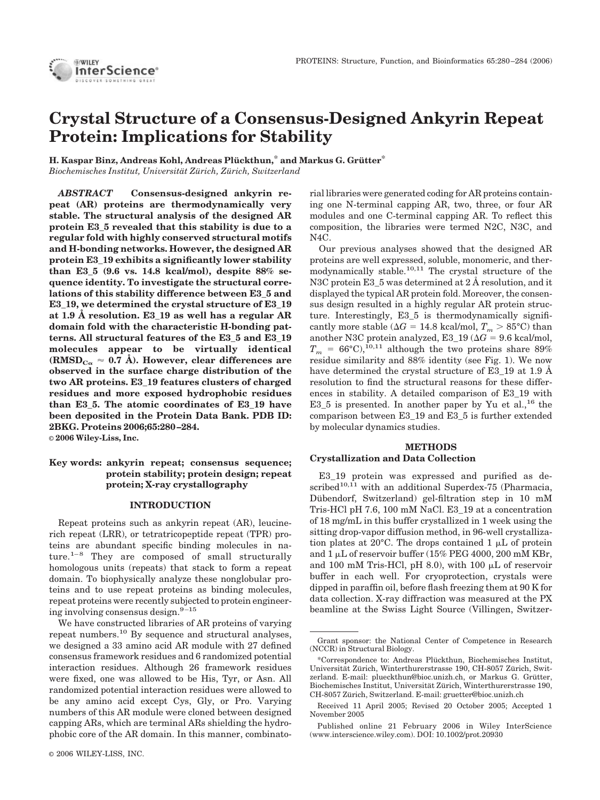# **Crystal Structure of a Consensus-Designed Ankyrin Repeat Protein: Implications for Stability**

**H. Kaspar Binz, Andreas Kohl, Andreas Plückthun,\* and Markus G. Grütter\*** *Biochemisches Institut, Universita¨ t Zu¨ rich, Zu¨ rich, Switzerland*

*ABSTRACT* **Consensus-designed ankyrin repeat (AR) proteins are thermodynamically very stable. The structural analysis of the designed AR protein E3\_5 revealed that this stability is due to a regular fold with highly conserved structural motifs and H-bonding networks. However, the designed AR protein E3\_19 exhibits a significantly lower stability than E3\_5 (9.6 vs. 14.8 kcal/mol), despite 88% sequence identity. To investigate the structural correlations of this stability difference between E3\_5 and E3\_19, we determined the crystal structure of E3\_19 at 1.9 Å resolution. E3\_19 as well has a regular AR domain fold with the characteristic H-bonding patterns. All structural features of the E3\_5 and E3\_19 molecules appear to be virtually identical** (RMSD<sub>C $\alpha$ </sub>  $\approx$  0.7 Å). However, clear differences are **observed in the surface charge distribution of the two AR proteins. E3\_19 features clusters of charged residues and more exposed hydrophobic residues than E3\_5. The atomic coordinates of E3\_19 have been deposited in the Protein Data Bank. PDB ID: 2BKG. Proteins 2006;65:280 –284.** © **2006 Wiley-Liss, Inc.**

# **Key words: ankyrin repeat; consensus sequence; protein stability; protein design; repeat protein; X-ray crystallography**

# **INTRODUCTION**

Repeat proteins such as ankyrin repeat (AR), leucinerich repeat (LRR), or tetratricopeptide repeat (TPR) proteins are abundant specific binding molecules in nature.<sup>1–8</sup> They are composed of small structurally homologous units (repeats) that stack to form a repeat domain. To biophysically analyze these nonglobular proteins and to use repeat proteins as binding molecules, repeat proteins were recently subjected to protein engineering involving consensus design.<sup>9-15</sup>

We have constructed libraries of AR proteins of varying repeat numbers.10 By sequence and structural analyses, we designed a 33 amino acid AR module with 27 defined consensus framework residues and 6 randomized potential interaction residues. Although 26 framework residues were fixed, one was allowed to be His, Tyr, or Asn. All randomized potential interaction residues were allowed to be any amino acid except Cys, Gly, or Pro. Varying numbers of this AR module were cloned between designed capping ARs, which are terminal ARs shielding the hydrophobic core of the AR domain. In this manner, combinatorial libraries were generated coding for AR proteins containing one N-terminal capping AR, two, three, or four AR modules and one C-terminal capping AR. To reflect this composition, the libraries were termed N2C, N3C, and N4C.

Our previous analyses showed that the designed AR proteins are well expressed, soluble, monomeric, and thermodynamically stable.<sup>10,11</sup> The crystal structure of the N3C protein E3\_5 was determined at 2 Å resolution, and it displayed the typical AR protein fold. Moreover, the consensus design resulted in a highly regular AR protein structure. Interestingly, E3\_5 is thermodynamically significantly more stable ( $\Delta G = 14.8$  kcal/mol,  $T_m > 85$ °C) than another N3C protein analyzed,  $E3_19 (\Delta G = 9.6 \text{ kcal/mol},$  $T_m = 66^{\circ}$ C),<sup>10,11</sup> although the two proteins share 89% residue similarity and 88% identity (see Fig. 1). We now have determined the crystal structure of E3\_19 at 1.9 Å resolution to find the structural reasons for these differences in stability. A detailed comparison of E3\_19 with E3\_5 is presented. In another paper by Yu et al.,<sup>16</sup> the comparison between E3\_19 and E3\_5 is further extended by molecular dynamics studies.

# **METHODS Crystallization and Data Collection**

E3\_19 protein was expressed and purified as de- $\text{scribed}^{10,\hat{11}}$  with an additional Superdex-75 (Pharmacia, Dübendorf, Switzerland) gel-filtration step in 10 mM Tris-HCl pH 7.6, 100 mM NaCl. E3\_19 at a concentration of 18 mg/mL in this buffer crystallized in 1 week using the sitting drop-vapor diffusion method, in 96-well crystallization plates at 20 $^{\circ}$ C. The drops contained 1  $\mu$ L of protein and  $1 \mu$ L of reservoir buffer (15% PEG 4000, 200 mM KBr, and 100 mM Tris-HCl, pH 8.0), with 100  $\mu$ L of reservoir buffer in each well. For cryoprotection, crystals were dipped in paraffin oil, before flash freezing them at 90 K for data collection. X-ray diffraction was measured at the PX beamline at the Swiss Light Source (Villingen, Switzer-

Grant sponsor: the National Center of Competence in Research (NCCR) in Structural Biology.

<sup>\*</sup>Correspondence to: Andreas Plu¨ ckthun, Biochemisches Institut, Universität Zürich, Winterthurerstrasse 190, CH-8057 Zürich, Switzerland. E-mail: plueckthun@bioc.unizh.ch, or Markus G. Grütter, Biochemisches Institut, Universität Zürich, Winterthurerstrasse 190, CH-8057 Zürich, Switzerland. E-mail: gruetter@bioc.unizh.ch

Received 11 April 2005; Revised 20 October 2005; Accepted 1 November 2005

Published online 21 February 2006 in Wiley InterScience (www.interscience.wiley.com). DOI: 10.1002/prot.20930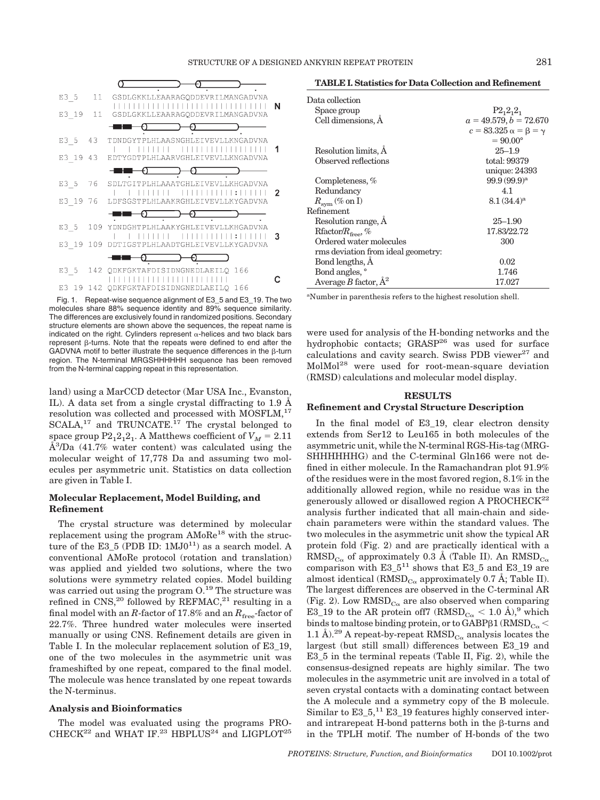

Fig. 1. Repeat-wise sequence alignment of E3\_5 and E3\_19. The two molecules share 88% sequence identity and 89% sequence similarity. The differences are exclusively found in randomized positions. Secondary structure elements are shown above the sequences, the repeat name is indicated on the right. Cylinders represent  $\alpha$ -helices and two black bars  $represent$   $\beta$ -turns. Note that the repeats were defined to end after the GADVNA motif to better illustrate the sequence differences in the  $\beta$ -turn region. The N-terminal MRGSHHHHHH sequence has been removed from the N-terminal capping repeat in this representation.

land) using a MarCCD detector (Mar USA Inc., Evanston, IL). A data set from a single crystal diffracting to 1.9 Å resolution was collected and processed with MOSFLM,<sup>17</sup> SCALA,<sup>17</sup> and TRUNCATE.<sup>17</sup> The crystal belonged to space group  $P2_12_12_1$ . A Matthews coefficient of  $V_M = 2.11$  $\AA^3$ /Da (41.7% water content) was calculated using the molecular weight of 17,778 Da and assuming two molecules per asymmetric unit. Statistics on data collection are given in Table I.

# **Molecular Replacement, Model Building, and Refinement**

The crystal structure was determined by molecular replacement using the program AMoRe<sup>18</sup> with the structure of the E3\_5 (PDB ID:  $1$ MJ0<sup>11</sup>) as a search model. A conventional AMoRe protocol (rotation and translation) was applied and yielded two solutions, where the two solutions were symmetry related copies. Model building was carried out using the program O.<sup>19</sup> The structure was refined in CNS,<sup>20</sup> followed by REFMAC,<sup>21</sup> resulting in a final model with an *R*-factor of 17.8% and an  $R_{\text{free}}$ -factor of 22.7%. Three hundred water molecules were inserted manually or using CNS. Refinement details are given in Table I. In the molecular replacement solution of E3\_19, one of the two molecules in the asymmetric unit was frameshifted by one repeat, compared to the final model. The molecule was hence translated by one repeat towards the N-terminus.

#### **Analysis and Bioinformatics**

The model was evaluated using the programs PRO-CHECK<sup>22</sup> and WHAT IF.<sup>23</sup> HBPLUS<sup>24</sup> and LIGPLOT<sup>25</sup>

**TABLE I. Statistics for Data Collection and Refinement**

| Data collection                    |                                      |
|------------------------------------|--------------------------------------|
| Space group                        | $P2_12_12_1$                         |
| Cell dimensions, A                 | $a = 49.579, b = 72.670$             |
|                                    | $c = 83.325 \alpha = \beta = \gamma$ |
|                                    | $= 90.00^{\circ}$                    |
| Resolution limits, A               | $25 - 1.9$                           |
| Observed reflections               | total: 99379                         |
|                                    | unique: 24393                        |
| Completeness, $%$                  | $99.9(99.9)^a$                       |
| Redundancy                         | 4.1                                  |
| $R_{\rm{sym}}$ (% on I)            | $8.1(34.4)$ <sup>a</sup>             |
| Refinement                         |                                      |
| Resolution range, A                | $25 - 1.90$                          |
| $R$ factor/ $R_{\text{free}}$ , %  | 17.83/22.72                          |
| Ordered water molecules            | 300                                  |
| rms deviation from ideal geometry: |                                      |
| Bond lengths, A                    | 0.02                                 |
| Bond angles, °                     | 1.746                                |
| Average B factor, $A^2$            | 17.027                               |

a Number in parenthesis refers to the highest resolution shell.

were used for analysis of the H-bonding networks and the hydrophobic contacts; GRASP<sup>26</sup> was used for surface calculations and cavity search. Swiss PDB viewer $^{27}$  and MolMol<sup>28</sup> were used for root-mean-square deviation (RMSD) calculations and molecular model display.

#### **RESULTS**

#### **Refinement and Crystal Structure Description**

In the final model of E3\_19, clear electron density extends from Ser12 to Leu165 in both molecules of the asymmetric unit, while the N-terminal RGS-His-tag (MRG-SHHHHHHG) and the C-terminal Gln166 were not defined in either molecule. In the Ramachandran plot 91.9% of the residues were in the most favored region, 8.1% in the additionally allowed region, while no residue was in the generously allowed or disallowed region A PROCHECK $^{22}$ analysis further indicated that all main-chain and sidechain parameters were within the standard values. The two molecules in the asymmetric unit show the typical AR protein fold (Fig. 2) and are practically identical with a  $\text{RMSD}_{\text{Co}}$  of approximately 0.3 Å (Table II). An  $\text{RMSD}_{\text{Co}}$ comparison with  $E3_5^{11}$  shows that E3<sub>-5</sub> and E3<sub>-19</sub> are almost identical (RMSD<sub>C $\alpha$ </sub> approximately 0.7 Å; Table II). The largest differences are observed in the C-terminal AR (Fig. 2). Low  $\text{RMSD}_{\text{Co}}$  are also observed when comparing E3\_19 to the AR protein off7 (RMSD<sub>C $\alpha$ </sub> < 1.0 Å),<sup>9</sup> which binds to maltose binding protein, or to GABP  $\beta$ 1 (RMSD<sub>C $\alpha$ </sub> < 1.1 Å).<sup>29</sup> A repeat-by-repeat RMSD<sub>C $\alpha$ </sub> analysis locates the largest (but still small) differences between E3\_19 and E3\_5 in the terminal repeats (Table II, Fig. 2), while the consensus-designed repeats are highly similar. The two molecules in the asymmetric unit are involved in a total of seven crystal contacts with a dominating contact between the A molecule and a symmetry copy of the B molecule. Similar to E3\_5,<sup>11</sup> E3\_19 features highly conserved interand intrarepeat H-bond patterns both in the  $\beta$ -turns and in the TPLH motif. The number of H-bonds of the two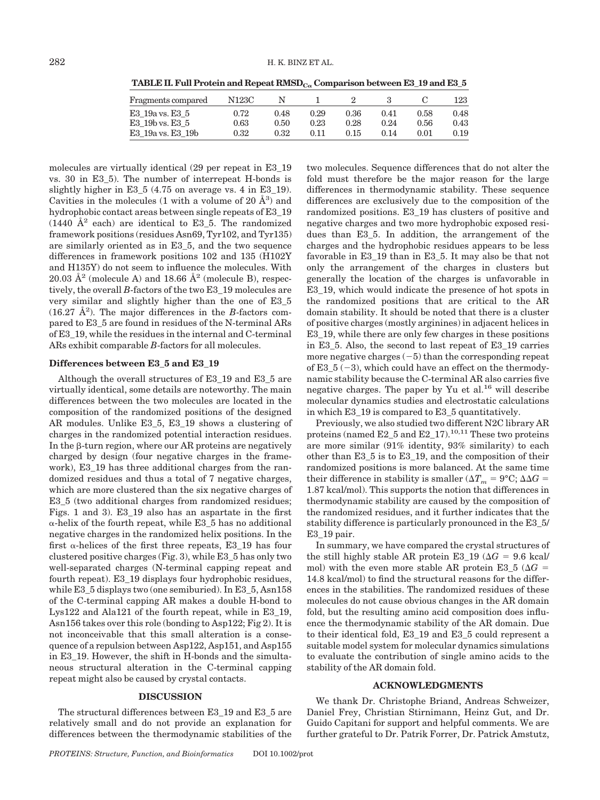TABLE II. Full Protein and Repeat RMSD<sub>C</sub> Comparison between E3\_19 and E3\_5

| Fragments compared | N123C      |      |      |      |      |          | 123.     |
|--------------------|------------|------|------|------|------|----------|----------|
| E3 19a vs. E3 5    | 0.72       | 0.48 | 0.29 | 0.36 | 0.41 | 0.58     | 0.48     |
| E3 19b vs. E3 5    | $\rm 0.63$ | 0.50 | 0.23 | 0.28 | 0.24 | $0.56\,$ | 0.43     |
| E3 19a vs. E3 19b  | 0.32       | 0.32 | 0.11 | 0.15 | 0.14 | 0.01     | $0.19\,$ |

molecules are virtually identical (29 per repeat in E3\_19 vs. 30 in E3\_5). The number of interrepeat H-bonds is slightly higher in E3\_5 (4.75 on average vs. 4 in E3\_19). Cavities in the molecules (1 with a volume of 20  $\AA$ <sup>3</sup>) and hydrophobic contact areas between single repeats of E3\_19  $(1440 \text{ Å}^2 \text{ each})$  are identical to E3\_5. The randomized framework positions (residues Asn69, Tyr102, and Tyr135) are similarly oriented as in E3\_5, and the two sequence differences in framework positions 102 and 135 (H102Y and H135Y) do not seem to influence the molecules. With 20.03  $\AA^2$  (molecule A) and 18.66  $\AA^2$  (molecule B), respectively, the overall *B*-factors of the two E3\_19 molecules are very similar and slightly higher than the one of E3\_5  $(16.27 \text{ Å}^2)$ . The major differences in the *B*-factors compared to E3\_5 are found in residues of the N-terminal ARs of E3\_19, while the residues in the internal and C-terminal ARs exhibit comparable *B*-factors for all molecules.

#### **Differences between E3\_5 and E3\_19**

Although the overall structures of E3\_19 and E3\_5 are virtually identical, some details are noteworthy. The main differences between the two molecules are located in the composition of the randomized positions of the designed AR modules. Unlike E3\_5, E3\_19 shows a clustering of charges in the randomized potential interaction residues. In the  $\beta$ -turn region, where our AR proteins are negatively charged by design (four negative charges in the framework), E3\_19 has three additional charges from the randomized residues and thus a total of 7 negative charges, which are more clustered than the six negative charges of E3\_5 (two additional charges from randomized residues; Figs. 1 and 3). E3\_19 also has an aspartate in the first  $\alpha$ -helix of the fourth repeat, while E3\_5 has no additional negative charges in the randomized helix positions. In the first  $\alpha$ -helices of the first three repeats, E3\_19 has four clustered positive charges (Fig. 3), while E3\_5 has only two well-separated charges (N-terminal capping repeat and fourth repeat). E3\_19 displays four hydrophobic residues, while E3\_5 displays two (one semiburied). In E3\_5, Asn158 of the C-terminal capping AR makes a double H-bond to Lys122 and Ala121 of the fourth repeat, while in E3\_19, Asn156 takes over this role (bonding to Asp122; Fig 2). It is not inconceivable that this small alteration is a consequence of a repulsion between Asp122, Asp151, and Asp155 in E3\_19. However, the shift in H-bonds and the simultaneous structural alteration in the C-terminal capping repeat might also be caused by crystal contacts.

# **DISCUSSION**

The structural differences between E3\_19 and E3\_5 are relatively small and do not provide an explanation for differences between the thermodynamic stabilities of the two molecules. Sequence differences that do not alter the fold must therefore be the major reason for the large differences in thermodynamic stability. These sequence differences are exclusively due to the composition of the randomized positions. E3\_19 has clusters of positive and negative charges and two more hydrophobic exposed residues than E3\_5. In addition, the arrangement of the charges and the hydrophobic residues appears to be less favorable in E3\_19 than in E3\_5. It may also be that not only the arrangement of the charges in clusters but generally the location of the charges is unfavorable in E3\_19, which would indicate the presence of hot spots in the randomized positions that are critical to the AR domain stability. It should be noted that there is a cluster of positive charges (mostly arginines) in adjacent helices in E3\_19, while there are only few charges in these positions in E3\_5. Also, the second to last repeat of E3\_19 carries more negative charges  $(-5)$  than the corresponding repeat of  $E3_5(-3)$ , which could have an effect on the thermodynamic stability because the C-terminal AR also carries five negative charges. The paper by Yu et al.<sup>16</sup> will describe molecular dynamics studies and electrostatic calculations in which E3\_19 is compared to E3\_5 quantitatively.

Previously, we also studied two different N2C library AR proteins (named  $E2_5$  and  $E2_17$ ).<sup>10,11</sup> These two proteins are more similar (91% identity, 93% similarity) to each other than E3\_5 is to E3\_19, and the composition of their randomized positions is more balanced. At the same time their difference in stability is smaller ( $\Delta T_m = 9^{\circ} \text{C}$ ;  $\Delta \Delta G =$ 1.87 kcal/mol). This supports the notion that differences in thermodynamic stability are caused by the composition of the randomized residues, and it further indicates that the stability difference is particularly pronounced in the E3\_5/ E3\_19 pair.

In summary, we have compared the crystal structures of the still highly stable AR protein E3\_19 ( $\Delta G = 9.6$  kcal/ mol) with the even more stable AR protein E3\_5 ( $\Delta G$  = 14.8 kcal/mol) to find the structural reasons for the differences in the stabilities. The randomized residues of these molecules do not cause obvious changes in the AR domain fold, but the resulting amino acid composition does influence the thermodynamic stability of the AR domain. Due to their identical fold, E3\_19 and E3\_5 could represent a suitable model system for molecular dynamics simulations to evaluate the contribution of single amino acids to the stability of the AR domain fold.

# **ACKNOWLEDGMENTS**

We thank Dr. Christophe Briand, Andreas Schweizer, Daniel Frey, Christian Stirnimann, Heinz Gut, and Dr. Guido Capitani for support and helpful comments. We are further grateful to Dr. Patrik Forrer, Dr. Patrick Amstutz,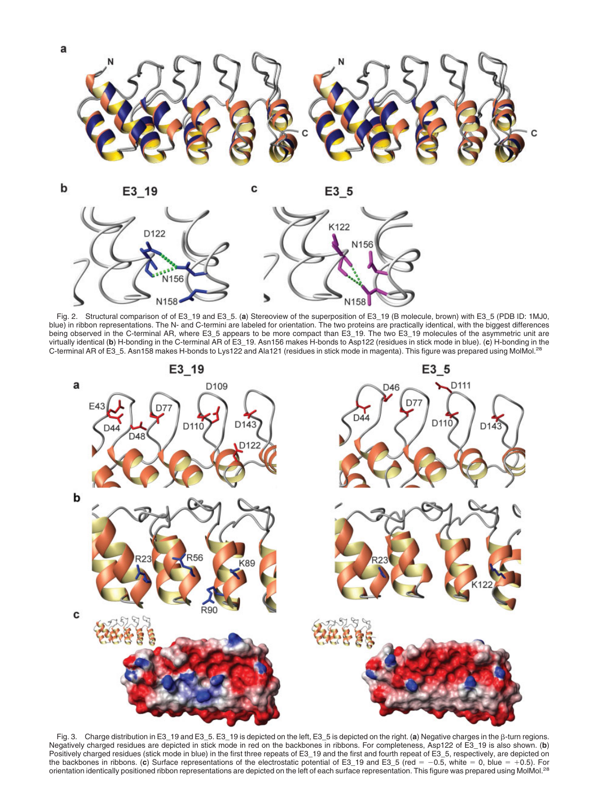

Fig. 2. Structural comparison of of E3\_19 and E3\_5. (**a**) Stereoview of the superposition of E3\_19 (B molecule, brown) with E3\_5 (PDB ID: 1MJ0, blue) in ribbon representations. The N- and C-termini are labeled for orientation. The two proteins are practically identical, with the biggest differences being observed in the C-terminal AR, where E3\_5 appears to be more compact than E3\_19. The two E3\_19 molecules of the asymmetric unit are virtually identical (**b**) H-bonding in the C-terminal AR of E3\_19. Asn156 makes H-bonds to Asp122 (residues in stick mode in blue). (**c**) H-bonding in the C-terminal AR of E3\_5. Asn158 makes H-bonds to Lys122 and Ala121 (residues in stick mode in magenta). This figure was prepared using MolMol.28



Fig. 3. Charge distribution in E3\_19 and E3\_5. E3\_19 is depicted on the left, E3\_5 is depicted on the right. (a) Negative charges in the  $\beta$ -turn regions. Negatively charged residues are depicted in stick mode in red on the backbones in ribbons. For completeness, Asp122 of E3\_19 is also shown. (**b**) Positively charged residues (stick mode in blue) in the first three repeats of E3\_19 and the first and fourth repeat of E3\_5, respectively, are depicted on the backbones in ribbons. (c) Surface representations of the electrostatic potential of E3\_19 and E3\_5 (red = -0.5, white = 0, blue = +0.5). For orientation identically positioned ribbon representations are depicted on the left of each surface representation. This figure was prepared using MolMol.<sup>28</sup>